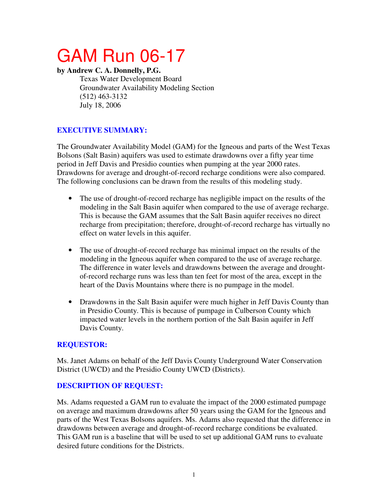# GAM Run 06-17

#### **by Andrew C. A. Donnelly, P.G.**

Texas Water Development Board Groundwater Availability Modeling Section (512) 463-3132 July 18, 2006

## **EXECUTIVE SUMMARY:**

The Groundwater Availability Model (GAM) for the Igneous and parts of the West Texas Bolsons (Salt Basin) aquifers was used to estimate drawdowns over a fifty year time period in Jeff Davis and Presidio counties when pumping at the year 2000 rates. Drawdowns for average and drought-of-record recharge conditions were also compared. The following conclusions can be drawn from the results of this modeling study.

- The use of drought-of-record recharge has negligible impact on the results of the modeling in the Salt Basin aquifer when compared to the use of average recharge. This is because the GAM assumes that the Salt Basin aquifer receives no direct recharge from precipitation; therefore, drought-of-record recharge has virtually no effect on water levels in this aquifer.
- The use of drought-of-record recharge has minimal impact on the results of the modeling in the Igneous aquifer when compared to the use of average recharge. The difference in water levels and drawdowns between the average and droughtof-record recharge runs was less than ten feet for most of the area, except in the heart of the Davis Mountains where there is no pumpage in the model.
- Drawdowns in the Salt Basin aquifer were much higher in Jeff Davis County than in Presidio County. This is because of pumpage in Culberson County which impacted water levels in the northern portion of the Salt Basin aquifer in Jeff Davis County.

## **REQUESTOR:**

Ms. Janet Adams on behalf of the Jeff Davis County Underground Water Conservation District (UWCD) and the Presidio County UWCD (Districts).

## **DESCRIPTION OF REQUEST:**

Ms. Adams requested a GAM run to evaluate the impact of the 2000 estimated pumpage on average and maximum drawdowns after 50 years using the GAM for the Igneous and parts of the West Texas Bolsons aquifers. Ms. Adams also requested that the difference in drawdowns between average and drought-of-record recharge conditions be evaluated. This GAM run is a baseline that will be used to set up additional GAM runs to evaluate desired future conditions for the Districts.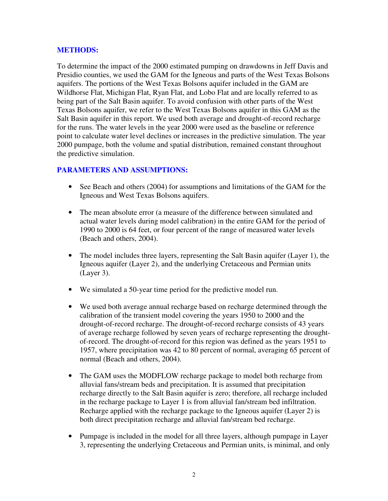#### **METHODS:**

To determine the impact of the 2000 estimated pumping on drawdowns in Jeff Davis and Presidio counties, we used the GAM for the Igneous and parts of the West Texas Bolsons aquifers. The portions of the West Texas Bolsons aquifer included in the GAM are Wildhorse Flat, Michigan Flat, Ryan Flat, and Lobo Flat and are locally referred to as being part of the Salt Basin aquifer. To avoid confusion with other parts of the West Texas Bolsons aquifer, we refer to the West Texas Bolsons aquifer in this GAM as the Salt Basin aquifer in this report. We used both average and drought-of-record recharge for the runs. The water levels in the year 2000 were used as the baseline or reference point to calculate water level declines or increases in the predictive simulation. The year 2000 pumpage, both the volume and spatial distribution, remained constant throughout the predictive simulation.

#### **PARAMETERS AND ASSUMPTIONS:**

- See Beach and others (2004) for assumptions and limitations of the GAM for the Igneous and West Texas Bolsons aquifers.
- The mean absolute error (a measure of the difference between simulated and actual water levels during model calibration) in the entire GAM for the period of 1990 to 2000 is 64 feet, or four percent of the range of measured water levels (Beach and others, 2004).
- The model includes three layers, representing the Salt Basin aquifer (Layer 1), the Igneous aquifer (Layer 2), and the underlying Cretaceous and Permian units (Layer 3).
- We simulated a 50-year time period for the predictive model run.
- We used both average annual recharge based on recharge determined through the calibration of the transient model covering the years 1950 to 2000 and the drought-of-record recharge. The drought-of-record recharge consists of 43 years of average recharge followed by seven years of recharge representing the droughtof-record. The drought-of-record for this region was defined as the years 1951 to 1957, where precipitation was 42 to 80 percent of normal, averaging 65 percent of normal (Beach and others, 2004).
- The GAM uses the MODFLOW recharge package to model both recharge from alluvial fans/stream beds and precipitation. It is assumed that precipitation recharge directly to the Salt Basin aquifer is zero; therefore, all recharge included in the recharge package to Layer 1 is from alluvial fan/stream bed infiltration. Recharge applied with the recharge package to the Igneous aquifer (Layer 2) is both direct precipitation recharge and alluvial fan/stream bed recharge.
- Pumpage is included in the model for all three layers, although pumpage in Layer 3, representing the underlying Cretaceous and Permian units, is minimal, and only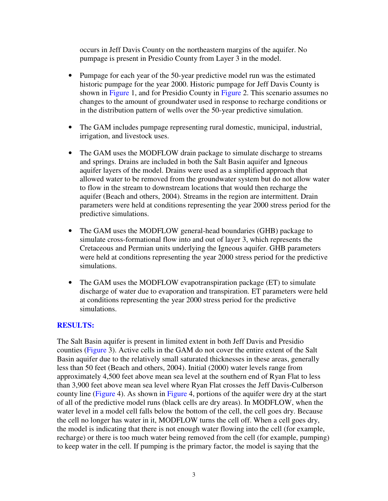occurs in Jeff Davis County on the northeastern margins of the aquifer. No pumpage is present in Presidio County from Layer 3 in the model.

- Pumpage for each year of the 50-year predictive model run was the estimated historic pumpage for the year 2000. Historic pumpage for Jeff Davis County is shown in Figure 1, and for Presidio County in Figure 2. This scenario assumes no changes to the amount of groundwater used in response to recharge conditions or in the distribution pattern of wells over the 50-year predictive simulation.
- The GAM includes pumpage representing rural domestic, municipal, industrial, irrigation, and livestock uses.
- The GAM uses the MODFLOW drain package to simulate discharge to streams and springs. Drains are included in both the Salt Basin aquifer and Igneous aquifer layers of the model. Drains were used as a simplified approach that allowed water to be removed from the groundwater system but do not allow water to flow in the stream to downstream locations that would then recharge the aquifer (Beach and others, 2004). Streams in the region are intermittent. Drain parameters were held at conditions representing the year 2000 stress period for the predictive simulations.
- The GAM uses the MODFLOW general-head boundaries (GHB) package to simulate cross-formational flow into and out of layer 3, which represents the Cretaceous and Permian units underlying the Igneous aquifer. GHB parameters were held at conditions representing the year 2000 stress period for the predictive simulations.
- The GAM uses the MODFLOW evapotranspiration package (ET) to simulate discharge of water due to evaporation and transpiration. ET parameters were held at conditions representing the year 2000 stress period for the predictive simulations.

#### **RESULTS:**

The Salt Basin aquifer is present in limited extent in both Jeff Davis and Presidio counties (Figure 3). Active cells in the GAM do not cover the entire extent of the Salt Basin aquifer due to the relatively small saturated thicknesses in these areas, generally less than 50 feet (Beach and others, 2004). Initial (2000) water levels range from approximately 4,500 feet above mean sea level at the southern end of Ryan Flat to less than 3,900 feet above mean sea level where Ryan Flat crosses the Jeff Davis-Culberson county line (Figure 4). As shown in Figure 4, portions of the aquifer were dry at the start of all of the predictive model runs (black cells are dry areas). In MODFLOW, when the water level in a model cell falls below the bottom of the cell, the cell goes dry. Because the cell no longer has water in it, MODFLOW turns the cell off. When a cell goes dry, the model is indicating that there is not enough water flowing into the cell (for example, recharge) or there is too much water being removed from the cell (for example, pumping) to keep water in the cell. If pumping is the primary factor, the model is saying that the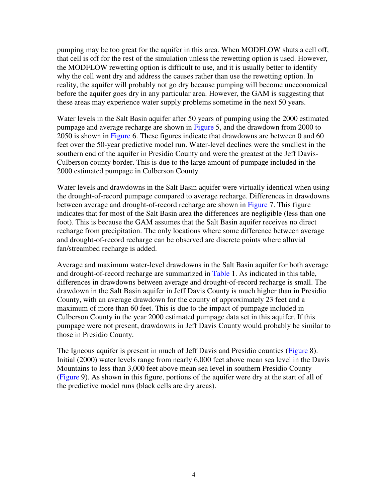pumping may be too great for the aquifer in this area. When MODFLOW shuts a cell off, that cell is off for the rest of the simulation unless the rewetting option is used. However, the MODFLOW rewetting option is difficult to use, and it is usually better to identify why the cell went dry and address the causes rather than use the rewetting option. In reality, the aquifer will probably not go dry because pumping will become uneconomical before the aquifer goes dry in any particular area. However, the GAM is suggesting that these areas may experience water supply problems sometime in the next 50 years.

Water levels in the Salt Basin aquifer after 50 years of pumping using the 2000 estimated pumpage and average recharge are shown in Figure 5, and the drawdown from 2000 to 2050 is shown in Figure 6. These figures indicate that drawdowns are between 0 and 60 feet over the 50-year predictive model run. Water-level declines were the smallest in the southern end of the aquifer in Presidio County and were the greatest at the Jeff Davis-Culberson county border. This is due to the large amount of pumpage included in the 2000 estimated pumpage in Culberson County.

Water levels and drawdowns in the Salt Basin aquifer were virtually identical when using the drought-of-record pumpage compared to average recharge. Differences in drawdowns between average and drought-of-record recharge are shown in Figure 7. This figure indicates that for most of the Salt Basin area the differences are negligible (less than one foot). This is because the GAM assumes that the Salt Basin aquifer receives no direct recharge from precipitation. The only locations where some difference between average and drought-of-record recharge can be observed are discrete points where alluvial fan/streambed recharge is added.

Average and maximum water-level drawdowns in the Salt Basin aquifer for both average and drought-of-record recharge are summarized in Table 1. As indicated in this table, differences in drawdowns between average and drought-of-record recharge is small. The drawdown in the Salt Basin aquifer in Jeff Davis County is much higher than in Presidio County, with an average drawdown for the county of approximately 23 feet and a maximum of more than 60 feet. This is due to the impact of pumpage included in Culberson County in the year 2000 estimated pumpage data set in this aquifer. If this pumpage were not present, drawdowns in Jeff Davis County would probably be similar to those in Presidio County.

The Igneous aquifer is present in much of Jeff Davis and Presidio counties (Figure 8). Initial (2000) water levels range from nearly 6,000 feet above mean sea level in the Davis Mountains to less than 3,000 feet above mean sea level in southern Presidio County (Figure 9). As shown in this figure, portions of the aquifer were dry at the start of all of the predictive model runs (black cells are dry areas).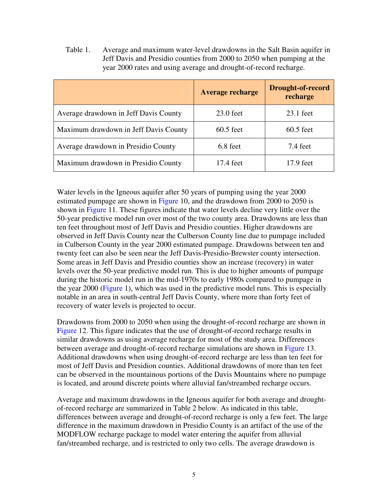Table 1. Average and maximum water-level drawdowns in the Salt Basin aquifer in Jeff Davis and Presidio counties from 2000 to 2050 when pumping at the year 2000 rates and using average and drought-of-record recharge.

|                                       | <b>Average recharge</b> | <b>Drought-of-record</b><br>recharge |
|---------------------------------------|-------------------------|--------------------------------------|
| Average drawdown in Jeff Davis County | $23.0$ feet             | $23.1$ feet                          |
| Maximum drawdown in Jeff Davis County | $60.5$ feet             | $60.5$ feet                          |
| Average drawdown in Presidio County   | 6.8 feet                | 7.4 feet                             |
| Maximum drawdown in Presidio County   | 17.4 feet               | 17.9 feet                            |

Water levels in the Igneous aquifer after 50 years of pumping using the year 2000 estimated pumpage are shown in Figure 10, and the drawdown from 2000 to 2050 is shown in Figure 11. These figures indicate that water levels decline very little over the 50-year predictive model run over most of the two county area. Drawdowns are less than ten feet throughout most of Jeff Davis and Presidio counties. Higher drawdowns are observed in Jeff Davis County near the Culberson County line due to pumpage included in Culberson County in the year 2000 estimated pumpage. Drawdowns between ten and twenty feet can also be seen near the Jeff Davis-Presidio-Brewster county intersection. Some areas in Jeff Davis and Presidio counties show an increase (recovery) in water levels over the 50-year predictive model run. This is due to higher amounts of pumpage during the historic model run in the mid-1970s to early 1980s compared to pumpage in the year 2000 (Figure 1), which was used in the predictive model runs. This is especially notable in an area in south-central Jeff Davis County, where more than forty feet of recovery of water levels is projected to occur.

Drawdowns from 2000 to 2050 when using the drought-of-record recharge are shown in Figure 12. This figure indicates that the use of drought-of-record recharge results in similar drawdowns as using average recharge for most of the study area. Differences between average and drought-of-record recharge simulations are shown in Figure 13. Additional drawdowns when using drought-of-record recharge are less than ten feet for most of Jeff Davis and Presidion counties. Additional drawdowns of more than ten feet can be observed in the mountainous portions of the Davis Mountains where no pumpage is located, and around discrete points where alluvial fan/streambed recharge occurs.

Average and maximum drawdowns in the Igneous aquifer for both average and droughtof-record recharge are summarized in Table 2 below. As indicated in this table, differences between average and drought-of-record recharge is only a few feet. The large difference in the maximum drawdown in Presidio County is an artifact of the use of the MODFLOW recharge package to model water entering the aquifer from alluvial fan/streambed recharge, and is restricted to only two cells. The average drawdown is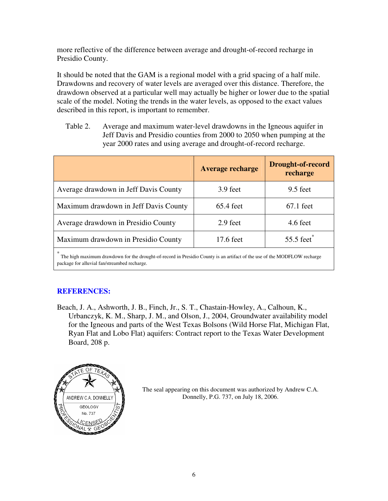more reflective of the difference between average and drought-of-record recharge in Presidio County.

It should be noted that the GAM is a regional model with a grid spacing of a half mile. Drawdowns and recovery of water levels are averaged over this distance. Therefore, the drawdown observed at a particular well may actually be higher or lower due to the spatial scale of the model. Noting the trends in the water levels, as opposed to the exact values described in this report, is important to remember.

Table 2. Average and maximum water-level drawdowns in the Igneous aquifer in Jeff Davis and Presidio counties from 2000 to 2050 when pumping at the year 2000 rates and using average and drought-of-record recharge.

|                                       | Average recharge | <b>Drought-of-record</b><br>recharge |
|---------------------------------------|------------------|--------------------------------------|
| Average drawdown in Jeff Davis County | 3.9 feet         | $9.5$ feet                           |
| Maximum drawdown in Jeff Davis County | $65.4$ feet      | $67.1$ feet                          |
| Average drawdown in Presidio County   | 2.9 feet         | 4.6 feet                             |
| Maximum drawdown in Presidio County   | 17.6 feet        | 55.5 feet $*$                        |
| *                                     |                  |                                      |

\* The high maximum drawdown for the drought-of-record in Presidio County is an artifact of the use of the MODFLOW recharge package for alluvial fan/streambed recharge.

## **REFERENCES:**

Beach, J. A., Ashworth, J. B., Finch, Jr., S. T., Chastain-Howley, A., Calhoun, K., Urbanczyk, K. M., Sharp, J. M., and Olson, J., 2004, Groundwater availability model for the Igneous and parts of the West Texas Bolsons (Wild Horse Flat, Michigan Flat, Ryan Flat and Lobo Flat) aquifers: Contract report to the Texas Water Development Board, 208 p.



The seal appearing on this document was authorized by Andrew C.A. Donnelly, P.G. 737, on July 18, 2006.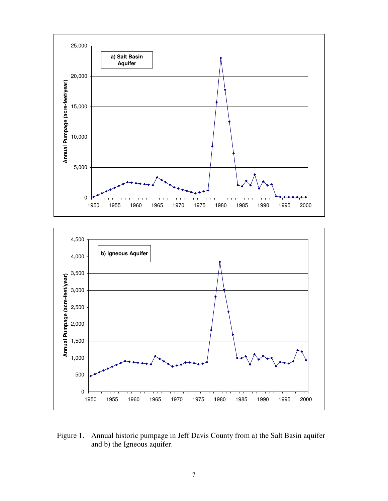



Figure 1. Annual historic pumpage in Jeff Davis County from a) the Salt Basin aquifer and b) the Igneous aquifer.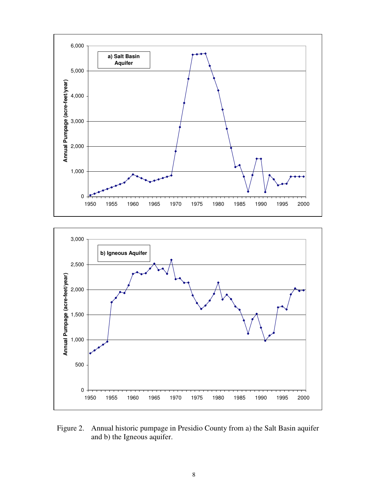



Figure 2. Annual historic pumpage in Presidio County from a) the Salt Basin aquifer and b) the Igneous aquifer.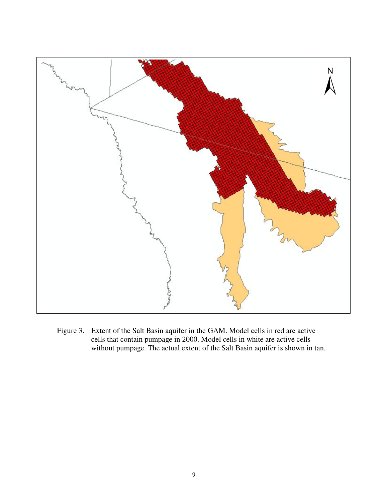

Figure 3. Extent of the Salt Basin aquifer in the GAM. Model cells in red are active cells that contain pumpage in 2000. Model cells in white are active cells without pumpage. The actual extent of the Salt Basin aquifer is shown in tan.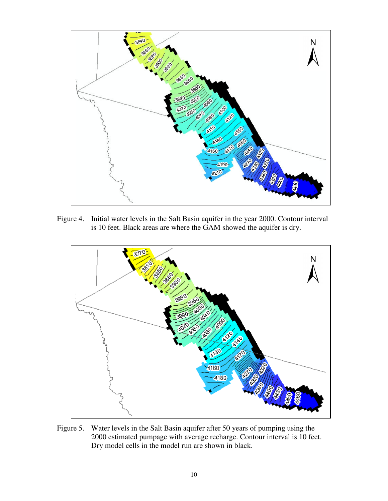

Figure 4. Initial water levels in the Salt Basin aquifer in the year 2000. Contour interval is 10 feet. Black areas are where the GAM showed the aquifer is dry.



Figure 5. Water levels in the Salt Basin aquifer after 50 years of pumping using the 2000 estimated pumpage with average recharge. Contour interval is 10 feet. Dry model cells in the model run are shown in black.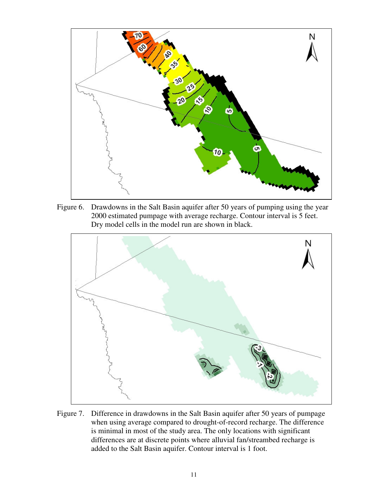

Figure 6. Drawdowns in the Salt Basin aquifer after 50 years of pumping using the year 2000 estimated pumpage with average recharge. Contour interval is 5 feet. Dry model cells in the model run are shown in black.



Figure 7. Difference in drawdowns in the Salt Basin aquifer after 50 years of pumpage when using average compared to drought-of-record recharge. The difference is minimal in most of the study area. The only locations with significant differences are at discrete points where alluvial fan/streambed recharge is added to the Salt Basin aquifer. Contour interval is 1 foot.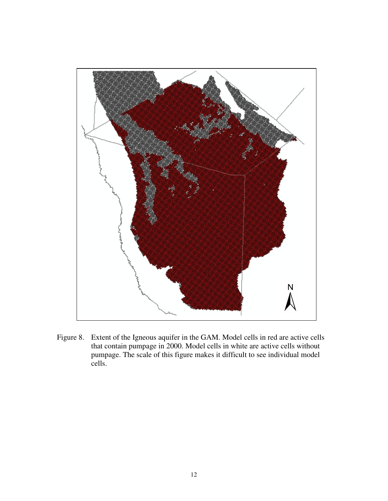

Figure 8. Extent of the Igneous aquifer in the GAM. Model cells in red are active cells that contain pumpage in 2000. Model cells in white are active cells without pumpage. The scale of this figure makes it difficult to see individual model cells.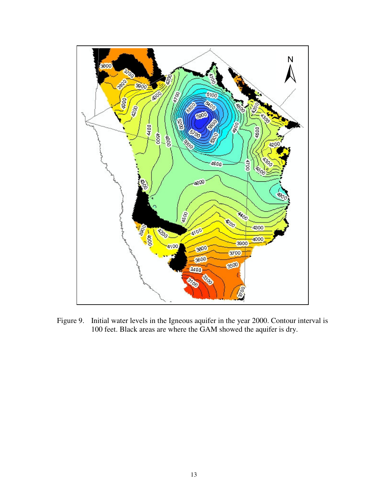

Figure 9. Initial water levels in the Igneous aquifer in the year 2000. Contour interval is 100 feet. Black areas are where the GAM showed the aquifer is dry.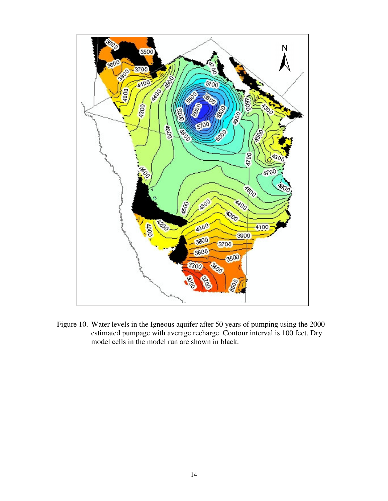

Figure 10. Water levels in the Igneous aquifer after 50 years of pumping using the 2000 estimated pumpage with average recharge. Contour interval is 100 feet. Dry model cells in the model run are shown in black.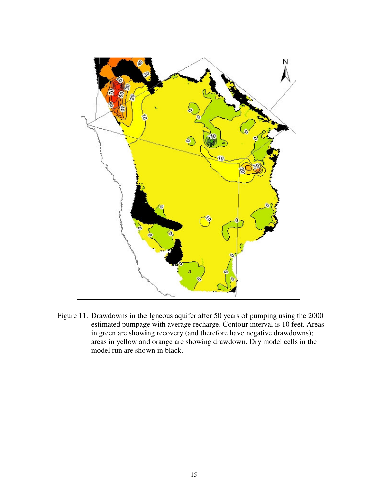

Figure 11. Drawdowns in the Igneous aquifer after 50 years of pumping using the 2000 estimated pumpage with average recharge. Contour interval is 10 feet. Areas in green are showing recovery (and therefore have negative drawdowns); areas in yellow and orange are showing drawdown. Dry model cells in the model run are shown in black.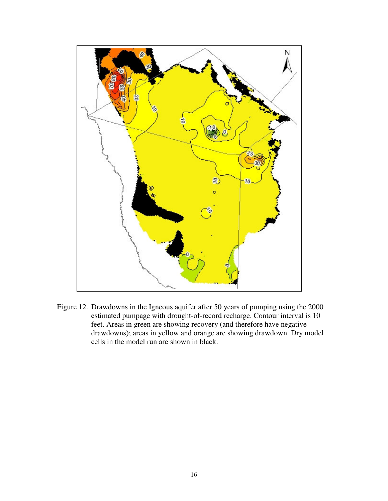

Figure 12. Drawdowns in the Igneous aquifer after 50 years of pumping using the 2000 estimated pumpage with drought-of-record recharge. Contour interval is 10 feet. Areas in green are showing recovery (and therefore have negative drawdowns); areas in yellow and orange are showing drawdown. Dry model cells in the model run are shown in black.